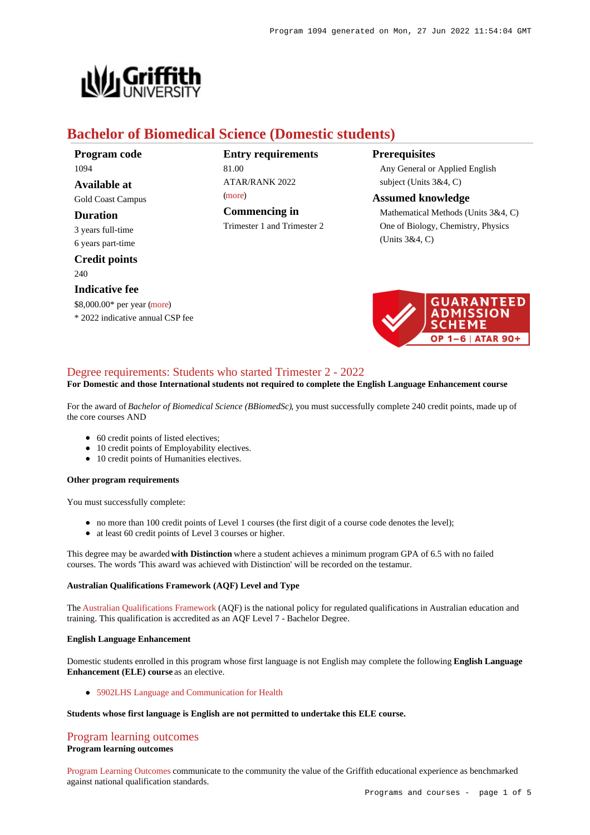

# **Bachelor of Biomedical Science (Domestic students)**

**Program code** 1094

**Available at** Gold Coast Campus

## **Duration**

3 years full-time 6 years part-time

**Credit points** 240

## **Indicative fee**

\$8,000.00\* per year [\(more](https://www148.griffith.edu.au/programs-courses/Program/1094/Overview/Domestic#fees))

\* 2022 indicative annual CSP fee

# **Entry requirements** 81.00 ATAR/RANK 2022 [\(more](https://www148.griffith.edu.au/programs-courses/Program/1094/HowToApply/Domestic#tac-entry-requirements))

**Commencing in** Trimester 1 and Trimester 2

# **Prerequisites**

Any General or Applied English subject (Units 3&4, C)

## **Assumed knowledge**

Mathematical Methods (Units 3&4, C) One of Biology, Chemistry, Physics (Units 3&4, C)



# [Degree requirements: Students who started Trimester 2 - 2022](https://www148.griffith.edu.au/programs-courses/Program/1094/Courses/Domestic#degree-requirements)

# **For Domestic and those International students not required to complete the English Language Enhancement course**

For the award of *Bachelor of Biomedical Science (BBiomedSc)*, you must successfully complete 240 credit points, made up of the core courses AND

- 60 credit points of listed electives;
- 10 credit points of Employability electives.
- 10 credit points of Humanities electives.

#### **Other program requirements**

You must successfully complete:

- no more than 100 credit points of Level 1 courses (the first digit of a course code denotes the level);
- at least 60 credit points of Level 3 courses or higher.

This degree may be awarded **with Distinction** where a student achieves a minimum program GPA of 6.5 with no failed courses. The words 'This award was achieved with Distinction' will be recorded on the testamur.

#### **Australian Qualifications Framework (AQF) Level and Type**

The [Australian Qualifications Framework](http://www.aqf.edu.au/) (AQF) is the national policy for regulated qualifications in Australian education and training. This qualification is accredited as an AQF Level 7 - Bachelor Degree.

#### **English Language Enhancement**

Domestic students enrolled in this program whose first language is not English may complete the following **English Language Enhancement (ELE) course** as an elective.

[5902LHS Language and Communication for Health](https://www148.griffith.edu.au/Course/5902LHS)

## **Students whose first language is English are not permitted to undertake this ELE course.**

## [Program learning outcomes](https://www148.griffith.edu.au/programs-courses/Program/1094/Courses/Domestic#programLearningOutcomes)

#### **Program learning outcomes**

[Program Learning Outcomes](https://www.griffith.edu.au/__data/assets/pdf_file/0017/134522/PLO-general-advice.pdf) communicate to the community the value of the Griffith educational experience as benchmarked against national qualification standards.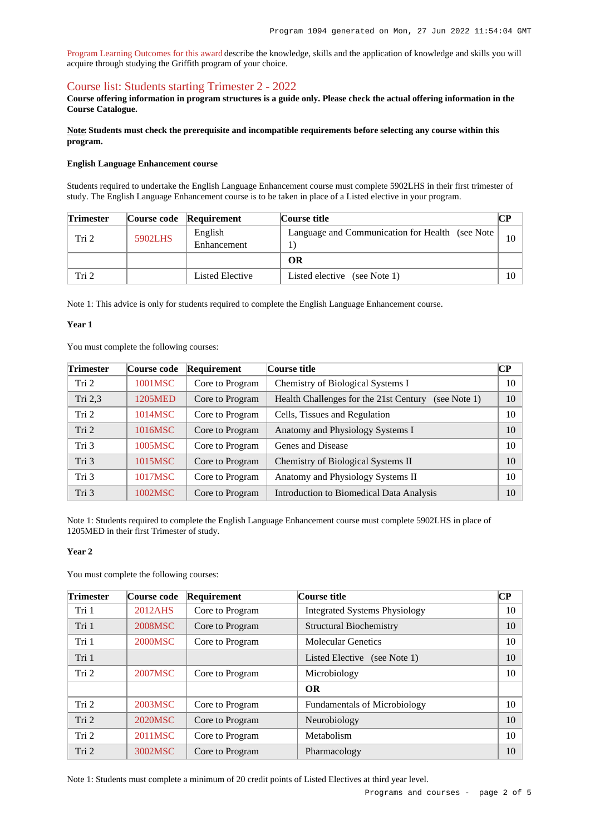[Program Learning Outcomes for this award](https://www.griffith.edu.au/__data/assets/pdf_file/0030/295608/BBiomedical-Science-HTH-PLO-L7.pdf) describe the knowledge, skills and the application of knowledge and skills you will acquire through studying the Griffith program of your choice.

## [Course list: Students starting Trimester 2 - 2022](https://www148.griffith.edu.au/programs-courses/Program/1094/Courses/Domestic#course-list-content)

**Course offering information in program structures is a guide only. Please check the actual offering information in the Course Catalogue.**

**Note: Students must check the prerequisite and incompatible requirements before selecting any course within this program.**

#### **English Language Enhancement course**

Students required to undertake the English Language Enhancement course must complete 5902LHS in their first trimester of study. The English Language Enhancement course is to be taken in place of a Listed elective in your program.

| <b>Trimester</b> |         | Course code Requirement | Course title                                     |        |
|------------------|---------|-------------------------|--------------------------------------------------|--------|
| Tri 2            | 5902LHS | English<br>Enhancement  | Language and Communication for Health (see Note) |        |
|                  |         |                         | ОR                                               |        |
| Tri 2            |         | Listed Elective         | Listed elective (see Note 1)                     | $10-1$ |

Note 1: This advice is only for students required to complete the English Language Enhancement course.

#### **Year 1**

You must complete the following courses:

| <b>Trimester</b> | Course code | <b>Requirement</b> | Course title                                           | <b>CP</b> |
|------------------|-------------|--------------------|--------------------------------------------------------|-----------|
| Tri 2            | 1001MSC     | Core to Program    | Chemistry of Biological Systems I                      | 10        |
| Tri $2,3$        | 1205MED     | Core to Program    | Health Challenges for the 21st Century<br>(see Note 1) | 10        |
| Tri 2            | 1014MSC     | Core to Program    | Cells, Tissues and Regulation                          | 10        |
| Tri 2            | 1016MSC     | Core to Program    | Anatomy and Physiology Systems I                       | 10        |
| Tri 3            | 1005MSC     | Core to Program    | Genes and Disease                                      | 10        |
| Tri 3            | 1015MSC     | Core to Program    | Chemistry of Biological Systems II                     | 10        |
| Tri 3            | 1017MSC     | Core to Program    | Anatomy and Physiology Systems II                      | 10        |
| Tri 3            | 1002MSC     | Core to Program    | Introduction to Biomedical Data Analysis               | 10        |

Note 1: Students required to complete the English Language Enhancement course must complete 5902LHS in place of 1205MED in their first Trimester of study.

### **Year 2**

You must complete the following courses:

| <b>Trimester</b> | Course code | Requirement     | Course title                         | $\overline{\mathbf{CP}}$ |
|------------------|-------------|-----------------|--------------------------------------|--------------------------|
| Tri 1            | 2012AHS     | Core to Program | <b>Integrated Systems Physiology</b> | 10                       |
| Tri 1            | 2008MSC     | Core to Program | <b>Structural Biochemistry</b>       | 10                       |
| Tri 1            | 2000MSC     | Core to Program | <b>Molecular Genetics</b>            | 10                       |
| Tri 1            |             |                 | Listed Elective (see Note 1)         | 10                       |
| Tri 2            | 2007MSC     | Core to Program | Microbiology                         | 10                       |
|                  |             |                 | <b>OR</b>                            |                          |
| Tri 2            | 2003MSC     | Core to Program | <b>Fundamentals of Microbiology</b>  | 10                       |
| Tri 2            | 2020MSC     | Core to Program | Neurobiology                         | 10                       |
| Tri 2            | 2011MSC     | Core to Program | Metabolism                           | 10                       |
| Tri 2            | 3002MSC     | Core to Program | Pharmacology                         | 10                       |

Note 1: Students must complete a minimum of 20 credit points of Listed Electives at third year level.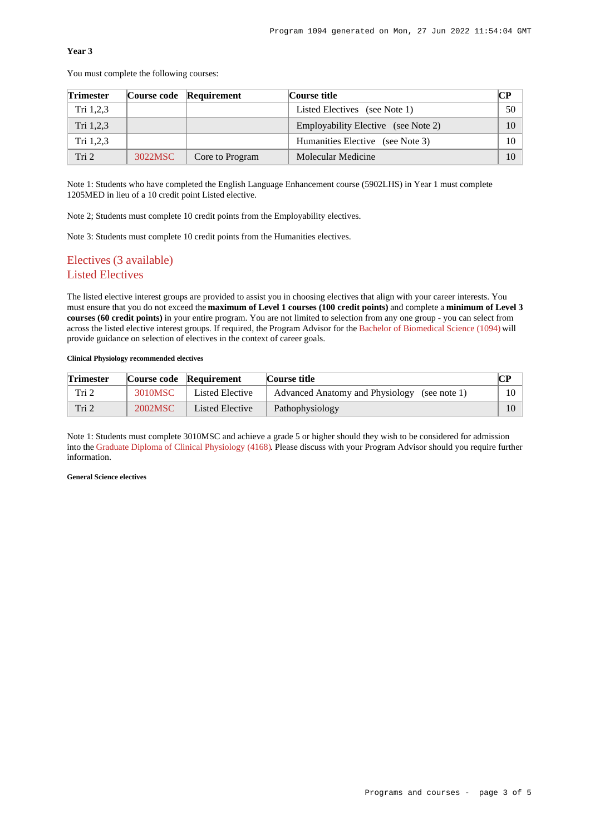# **Year 3**

You must complete the following courses:

| <b>Trimester</b> |         | Course code Requirement | Course title                        | CР              |
|------------------|---------|-------------------------|-------------------------------------|-----------------|
| Tri 1,2,3        |         |                         | Listed Electives (see Note 1)       | 50              |
| Tri 1,2,3        |         |                         | Employability Elective (see Note 2) | 10 <sup>1</sup> |
| Tri $1,2,3$      |         |                         | Humanities Elective (see Note 3)    | $10-10$         |
| Tri 2            | 3022MSC | Core to Program         | Molecular Medicine                  | 10              |

Note 1: Students who have completed the English Language Enhancement course (5902LHS) in Year 1 must complete 1205MED in lieu of a 10 credit point Listed elective.

Note 2; Students must complete 10 credit points from the Employability electives.

Note 3: Students must complete 10 credit points from the Humanities electives.

# Electives (3 available) Listed Electives

The listed elective interest groups are provided to assist you in choosing electives that align with your career interests. You must ensure that you do not exceed the **maximum of Level 1 courses (100 credit points)** and complete a **minimum of Level 3 courses (60 credit points)** in your entire program. You are not limited to selection from any one group - you can select from across the listed elective interest groups. If required, the Program Advisor for the [Bachelor of Biomedical Science \(1094\)](https://www148.griffith.edu.au/Search/Results?SearchText=1094) will provide guidance on selection of electives in the context of career goals.

#### **Clinical Physiology recommended electives**

| <b>Trimester</b> |         | Course code Requirement | Course title                                 | CР |
|------------------|---------|-------------------------|----------------------------------------------|----|
| Tri 2            | 3010MSC | Listed Elective         | Advanced Anatomy and Physiology (see note 1) |    |
| Tri 2            | 2002MSC | Listed Elective         | Pathophysiology                              |    |

Note 1: Students must complete 3010MSC and achieve a grade 5 or higher should they wish to be considered for admission into the [Graduate Diploma of Clinical Physiology \(4168\)](https://www148.griffith.edu.au/Search/Results?SearchText=4168). Please discuss with your Program Advisor should you require further information.

## **General Science electives**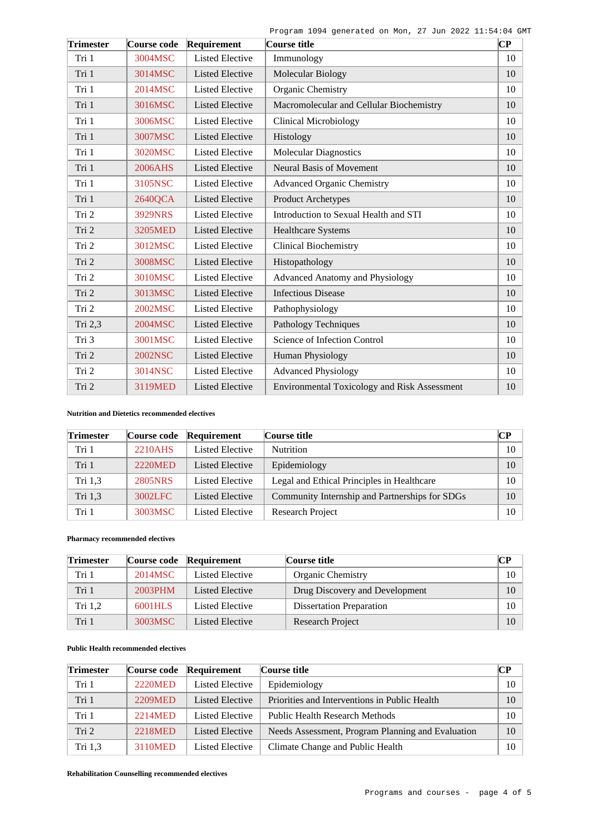Program 1094 generated on Mon, 27 Jun 2022 11:54:04 GMT

| <b>Trimester</b> | Course code    | Requirement            | Course title                                 | $\overline{\mathbf{C}\mathbf{P}}$ |
|------------------|----------------|------------------------|----------------------------------------------|-----------------------------------|
| Tri 1            | 3004MSC        | <b>Listed Elective</b> | Immunology                                   | 10                                |
| Tri 1            | 3014MSC        | <b>Listed Elective</b> | Molecular Biology                            | 10                                |
| Tri 1            | 2014MSC        | <b>Listed Elective</b> | Organic Chemistry                            | 10                                |
| Tri 1            | 3016MSC        | <b>Listed Elective</b> | Macromolecular and Cellular Biochemistry     | 10                                |
| Tri 1            | 3006MSC        | <b>Listed Elective</b> | <b>Clinical Microbiology</b>                 | 10                                |
| Tri 1            | 3007MSC        | <b>Listed Elective</b> | Histology                                    | 10                                |
| Tri 1            | 3020MSC        | <b>Listed Elective</b> | <b>Molecular Diagnostics</b>                 | 10                                |
| Tri 1            | 2006AHS        | <b>Listed Elective</b> | <b>Neural Basis of Movement</b>              | 10                                |
| Tri 1            | 3105NSC        | <b>Listed Elective</b> | <b>Advanced Organic Chemistry</b>            | 10                                |
| Tri 1            | 2640QCA        | <b>Listed Elective</b> | Product Archetypes                           | 10                                |
| Tri 2            | 3929NRS        | <b>Listed Elective</b> | Introduction to Sexual Health and STI        | 10                                |
| Tri 2            | 3205MED        | <b>Listed Elective</b> | <b>Healthcare Systems</b>                    | 10                                |
| Tri 2            | 3012MSC        | <b>Listed Elective</b> | <b>Clinical Biochemistry</b>                 | 10                                |
| Tri 2            | 3008MSC        | <b>Listed Elective</b> | Histopathology                               | 10                                |
| Tri 2            | 3010MSC        | <b>Listed Elective</b> | <b>Advanced Anatomy and Physiology</b>       | 10                                |
| Tri 2            | 3013MSC        | <b>Listed Elective</b> | <b>Infectious Disease</b>                    | 10                                |
| Tri 2            | 2002MSC        | <b>Listed Elective</b> | Pathophysiology                              | 10                                |
| Tri 2,3          | 2004MSC        | <b>Listed Elective</b> | Pathology Techniques                         | 10                                |
| Tri 3            | 3001MSC        | <b>Listed Elective</b> | Science of Infection Control                 | 10                                |
| Tri 2            | <b>2002NSC</b> | <b>Listed Elective</b> | Human Physiology                             | 10                                |
| Tri 2            | 3014NSC        | <b>Listed Elective</b> | <b>Advanced Physiology</b>                   | 10                                |
| Tri 2            | 3119MED        | <b>Listed Elective</b> | Environmental Toxicology and Risk Assessment | 10                                |

# **Nutrition and Dietetics recommended electives**

| <b>Trimester</b> | Course code    | Requirement            | Course title                                   | CР |
|------------------|----------------|------------------------|------------------------------------------------|----|
| Tri 1            | 2210AHS        | Listed Elective        | <b>Nutrition</b>                               | 10 |
| Tri 1            | 2220MED        | <b>Listed Elective</b> | Epidemiology                                   | 10 |
| Tri 1.3          | <b>2805NRS</b> | Listed Elective        | Legal and Ethical Principles in Healthcare     | 10 |
| Tri 1.3          | 3002LFC        | <b>Listed Elective</b> | Community Internship and Partnerships for SDGs | 10 |
| Tri 1            | 3003MSC        | Listed Elective        | Research Project                               | 10 |

# **Pharmacy recommended electives**

| <b>Trimester</b> |         | Course code Requirement | <b>Course title</b>             | $\bf CP$ |
|------------------|---------|-------------------------|---------------------------------|----------|
| Tri 1            | 2014MSC | Listed Elective         | <b>Organic Chemistry</b>        | 10       |
| Tri 1            | 2003PHM | Listed Elective         | Drug Discovery and Development  | 10       |
| Tri $1,2$        | 6001HLS | Listed Elective         | <b>Dissertation Preparation</b> | $10-10$  |
| Tri 1            | 3003MSC | Listed Elective         | Research Project                | 10       |

# **Public Health recommended electives**

| <b>Trimester</b> | Course code | Requirement     | Course title                                      | CР |
|------------------|-------------|-----------------|---------------------------------------------------|----|
| Tri 1            | 2220MED     | Listed Elective | Epidemiology                                      | 10 |
| Tri 1            | 2209MED     | Listed Elective | Priorities and Interventions in Public Health     | 10 |
| Tri 1            | 2214MED     | Listed Elective | <b>Public Health Research Methods</b>             | 10 |
| Tri 2            | 2218MED     | Listed Elective | Needs Assessment, Program Planning and Evaluation | 10 |
| Tri 1,3          | 3110MED     | Listed Elective | Climate Change and Public Health                  | 10 |

**Rehabilitation Counselling recommended electives**